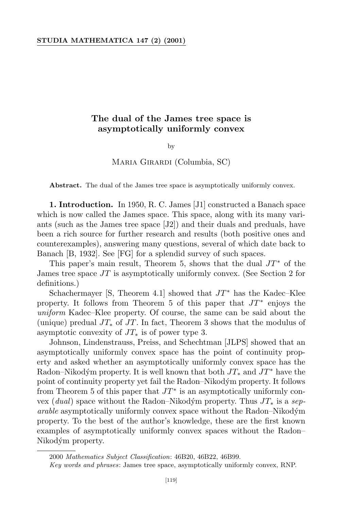## **The dual of the James tree space is asymptotically uniformly convex**

by

## Maria Girardi (Columbia, SC)

**Abstract.** The dual of the James tree space is asymptotically uniformly convex.

**1. Introduction.** In 1950, R. C. James [J1] constructed a Banach space which is now called the James space. This space, along with its many variants (such as the James tree space [J2]) and their duals and preduals, have been a rich source for further research and results (both positive ones and counterexamples), answering many questions, several of which date back to Banach [B, 1932]. See [FG] for a splendid survey of such spaces.

This paper's main result, Theorem 5, shows that the dual *JT <sup>∗</sup>* of the James tree space *JT* is asymptotically uniformly convex. (See Section 2 for definitions.)

Schachermayer [S, Theorem 4.1] showed that *JT <sup>∗</sup>* has the Kadec–Klee property. It follows from Theorem 5 of this paper that *JT ∗* enjoys the *uniform* Kadec–Klee property. Of course, the same can be said about the (unique) predual *JT<sup>∗</sup>* of *JT*. In fact, Theorem 3 shows that the modulus of asymptotic convexity of *JT<sup>∗</sup>* is of power type 3.

Johnson, Lindenstrauss, Preiss, and Schechtman [JLPS] showed that an asymptotically uniformly convex space has the point of continuity property and asked whether an asymptotically uniformly convex space has the Radon–Nikodým property. It is well known that both  $JT_*$  and  $JT^*$  have the point of continuity property yet fail the Radon–Nikodým property. It follows from Theorem 5 of this paper that  $JT^*$  is an asymptotically uniformly convex (*dual*) space without the Radon–Nikodym´ property. Thus *JT<sup>∗</sup>* is a *separable* asymptotically uniformly convex space without the Radon–Nikodym´ property. To the best of the author's knowledge, these are the first known examples of asymptotically uniformly convex spaces without the Radon– Nikodým property.

<sup>2000</sup> *Mathematics Subject Classification*: 46B20, 46B22, 46B99.

*Key words and phrases*: James tree space, asymptotically uniformly convex, RNP.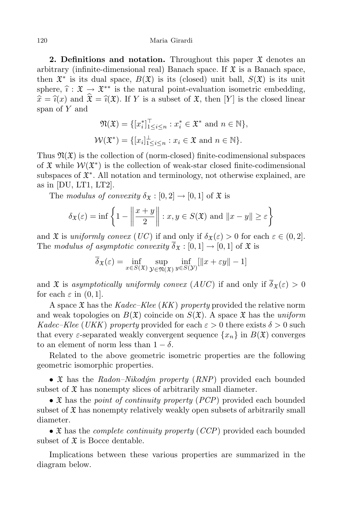**2. Definitions** and **notation.** Throughout this paper  $\mathfrak{X}$  denotes an arbitrary (infinite-dimensional real) Banach space. If  $\mathfrak X$  is a Banach space, then  $\mathfrak{X}^*$  is its dual space,  $B(\mathfrak{X})$  is its (closed) unit ball,  $S(\mathfrak{X})$  is its unit sphere,  $\hat{i} : \mathfrak{X} \to \mathfrak{X}^{**}$  is the natural point-evaluation isometric embedding,  $\hat{x} = \hat{i}(x)$  and  $\hat{\mathcal{X}} = \hat{i}(\mathcal{X})$ . If *Y* is a subset of  $\mathcal{X}$ , then [*Y*] is the closed linear span of *Y* and

$$
\mathfrak{N}(\mathfrak{X}) = \{ [x_i^*]_{1 \le i \le n}^1 : x_i^* \in \mathfrak{X}^* \text{ and } n \in \mathbb{N} \},
$$
  

$$
\mathcal{W}(\mathfrak{X}^*) = \{ [x_i]_{1 \le i \le n}^{\perp} : x_i \in \mathfrak{X} \text{ and } n \in \mathbb{N} \}.
$$

Thus  $\mathfrak{N}(\mathfrak{X})$  is the collection of (norm-closed) finite-codimensional subspaces of  $\mathfrak X$  while  $\mathcal W(\mathfrak X^*)$  is the collection of weak-star closed finite-codimensional subspaces of X *∗* . All notation and terminology, not otherwise explained, are as in  $[DU, LT1, LT2]$ .

The *modulus* of convexity  $\delta_{\mathfrak{X}} : [0,2] \rightarrow [0,1]$  of  $\mathfrak{X}$  is

$$
\delta_{\mathfrak{X}}(\varepsilon) = \inf \left\{ 1 - \left\| \frac{x+y}{2} \right\| : x, y \in S(\mathfrak{X}) \text{ and } \|x - y\| \ge \varepsilon \right\}
$$

and  $\mathfrak X$  is *uniformly convex* (*UC*) if and only if  $\delta_{\mathfrak X}(\varepsilon) > 0$  for each  $\varepsilon \in (0,2]$ . The *modulus* of asymptotic convexity  $\overline{\delta}_{\mathfrak{X}} : [0,1] \rightarrow [0,1]$  of  $\mathfrak{X}$  is

$$
\overline{\delta}_{\mathfrak{X}}(\varepsilon) = \inf_{x \in S(\mathfrak{X})} \sup_{\mathcal{Y} \in \mathfrak{N}(\mathfrak{X})} \inf_{y \in S(\mathcal{Y})} [\|x + \varepsilon y\| - 1]
$$

and  $\mathfrak X$  is *asymptotically uniformly convex*  $(AUC)$  if and only if  $\overline{\delta}_{\mathfrak X}(\varepsilon) > 0$ for each  $\varepsilon$  in  $(0, 1]$ .

A space X has the *Kadec–Klee* (*KK*) *property* provided the relative norm and weak topologies on  $B(\mathfrak{X})$  coincide on  $S(\mathfrak{X})$ . A space  $\mathfrak{X}$  has the *uniform Kadec–Klee* (*UKK*) *property* provided for each  $\varepsilon > 0$  there exists  $\delta > 0$  such that every *ε*-separated weakly convergent sequence  $\{x_n\}$  in  $B(\mathfrak{X})$  converges to an element of norm less than  $1 - \delta$ .

Related to the above geometric isometric properties are the following geometric isomorphic properties.

• *X* has the *Radon–Nikodým property* (*RNP*) provided each bounded subset of  $\mathfrak X$  has nonempty slices of arbitrarily small diameter.

*•* X has the *point of continuity property* (*PCP*) provided each bounded subset of  $\mathfrak X$  has nonempty relatively weakly open subsets of arbitrarily small diameter.

*•* X has the *complete continuity property* (*CCP*) provided each bounded subset of  $\mathfrak X$  is Bocce dentable.

Implications between these various properties are summarized in the diagram below.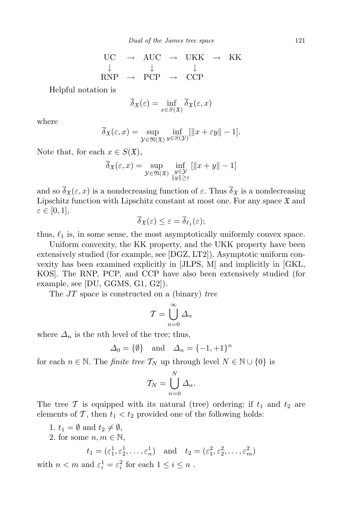$$
\begin{array}{ccc}\n\text{UC} & \rightarrow & \text{AUC} & \rightarrow & \text{UKK} & \rightarrow & \text{KK} \\
\downarrow & & \downarrow & & \downarrow \\
\text{RNP} & \rightarrow & \text{PCP} & \rightarrow & \text{CCP}\n\end{array}
$$

Helpful notation is

$$
\overline{\delta}_{\mathfrak{X}}(\varepsilon) = \inf_{x \in S(\mathfrak{X})} \overline{\delta}_{\mathfrak{X}}(\varepsilon, x)
$$

where

$$
\overline{\delta}_{\mathfrak{X}}(\varepsilon, x) = \sup_{\mathcal{Y} \in \mathfrak{N}(\mathfrak{X})} \inf_{y \in S(\mathcal{Y})} [\|x + \varepsilon y\| - 1].
$$

Note that, for each  $x \in S(\mathfrak{X}),$ 

$$
\overline{\delta}_{\mathfrak{X}}(\varepsilon, x) = \sup_{\mathcal{Y} \in \mathfrak{N}(\mathfrak{X})} \inf_{\substack{y \in \mathcal{Y} \\ \|y\| \ge \varepsilon}} [\|x + y\| - 1]
$$

and so  $\overline{\delta}_{\mathfrak{X}}(\varepsilon, x)$  is a nondecreasing function of  $\varepsilon$ . Thus  $\overline{\delta}_{\mathfrak{X}}$  is a nondecreasing Lipschitz function with Lipschitz constant at most one. For any space  $\mathfrak X$  and  $\varepsilon \in [0,1],$ 

$$
\overline{\delta}_{\mathfrak{X}}(\varepsilon) \leq \varepsilon = \overline{\delta}_{\ell_1}(\varepsilon);
$$

thus,  $\ell_1$  is, in some sense, the most asymptotically uniformly convex space.

Uniform convexity, the KK property, and the UKK property have been extensively studied (for example, see [DGZ, LT2]). Asymptotic uniform convexity has been examined explicitly in [JLPS, M] and implicitly in [GKL, KOS]. The RNP, PCP, and CCP have also been extensively studied (for example, see [DU, GGMS, G1, G2]).

The *JT* space is constructed on a (binary) *tree*

$$
\mathcal{T} = \bigcup_{n=0}^{\infty} \mathcal{L}_n
$$

where  $\Delta_n$  is the *n*th level of the tree; thus,

$$
\Delta_0 = \{ \emptyset \} \quad \text{and} \quad \Delta_n = \{-1, +1\}^n
$$

for each  $n \in \mathbb{N}$ . The *finite tree*  $\mathcal{T}_N$  up through level  $N \in \mathbb{N} \cup \{0\}$  is

$$
\mathcal{T}_N = \bigcup_{n=0}^N \Delta_n.
$$

The tree  $\mathcal T$  is equipped with its natural (tree) ordering: if  $t_1$  and  $t_2$  are elements of  $\mathcal{T}$ , then  $t_1 < t_2$  provided one of the following holds:

1.  $t_1 = \emptyset$  and  $t_2 \neq \emptyset$ ,

2. for some  $n, m \in \mathbb{N}$ ,

$$
t_1 = (\varepsilon_1^1, \varepsilon_2^1, \dots, \varepsilon_n^1)
$$
 and  $t_2 = (\varepsilon_1^2, \varepsilon_2^2, \dots, \varepsilon_n^2)$ 

with  $n < m$  and  $\varepsilon_i^1 = \varepsilon_i^2$  for each  $1 \le i \le n$ .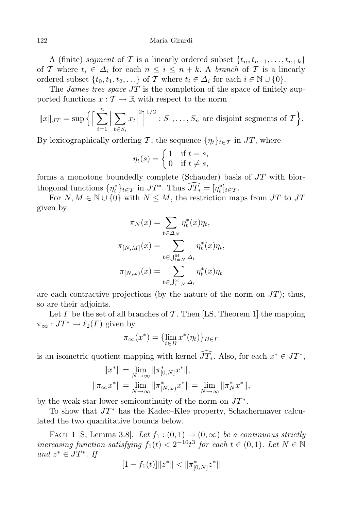A (finite) *segment* of *T* is a linearly ordered subset  $\{t_n, t_{n+1}, \ldots, t_{n+k}\}$ of *T* where  $t_i \in \Delta_i$  for each  $n \leq i \leq n+k$ . A *branch* of *T* is a linearly ordered subset  $\{t_0, t_1, t_2, \ldots\}$  of *T* where  $t_i \in \Delta_i$  for each  $i \in \mathbb{N} \cup \{0\}$ .

The *James tree space JT* is the completion of the space of finitely supported functions  $x: \mathcal{T} \to \mathbb{R}$  with respect to the norm

$$
||x||_{JT} = \sup \left\{ \left[ \sum_{i=1}^n \left| \sum_{t \in S_i} x_t \right|^2 \right]^{1/2} : S_1, \dots, S_n \text{ are disjoint segments of } T \right\}.
$$

By lexicographically ordering *T*, the sequence  $\{\eta_t\}_{t \in \mathcal{T}}$  in *JT*, where

$$
\eta_t(s) = \begin{cases} 1 & \text{if } t = s, \\ 0 & \text{if } t \neq s, \end{cases}
$$

forms a monotone boundedly complete (Schauder) basis of *JT* with biorthogonal functions  $\{\eta_t^*\}_{t \in \mathcal{T}}$  in  $JT^*$ . Thus  $JT_* = [\eta_t^*]_{t \in \mathcal{T}}$ .

For  $N, M \in \mathbb{N} \cup \{0\}$  with  $N \leq M$ , the restriction maps from *JT* to *JT* given by

$$
\pi_N(x) = \sum_{t \in \Delta_N} \eta_t^*(x)\eta_t,
$$

$$
\pi_{[N,M]}(x) = \sum_{t \in \bigcup_{i=N}^M \Delta_i} \eta_t^*(x)\eta_t,
$$

$$
\pi_{[N,\omega)}(x) = \sum_{t \in \bigcup_{i=N}^\infty \Delta_i} \eta_t^*(x)\eta_t
$$

are each contractive projections (by the nature of the norm on *JT*); thus, so are their adjoints.

Let *Γ* be the set of all branches of *T* . Then [LS, Theorem 1] the mapping  $\pi_{\infty}: J T^* \to \ell_2(\Gamma)$  given by

$$
\pi_{\infty}(x^*) = \{\lim_{t \in B} x^*(\eta_t)\}_{B \in \Gamma}
$$

is an isometric quotient mapping with kernel  $JT_*$ . Also, for each  $x^* \in JT^*$ ,

$$
||x^*|| = \lim_{N \to \infty} ||\pi_{[0,N]}^* x^*||,
$$
  

$$
||\pi_{\infty} x^*|| = \lim_{N \to \infty} ||\pi_{[N,\omega)}^* x^*|| = \lim_{N \to \infty} ||\pi_N^* x^*||,
$$

by the weak-star lower semicontinuity of the norm on *JT ∗* .

To show that *JT ∗* has the Kadec–Klee property, Schachermayer calculated the two quantitative bounds below.

FACT 1 [S, Lemma 3.8]. Let  $f_1 : (0,1) \rightarrow (0,\infty)$  be a continuous strictly *increasing function satisfying*  $f_1(t) < 2^{-10}t^3$  *for each*  $t \in (0,1)$ *. Let*  $N \in \mathbb{N}$ *and*  $z^* \in JT^*$ . *If* 

$$
[1 - f_1(t)] \|z^*\| < \|\pi^*_{[0,N]}z^*\|
$$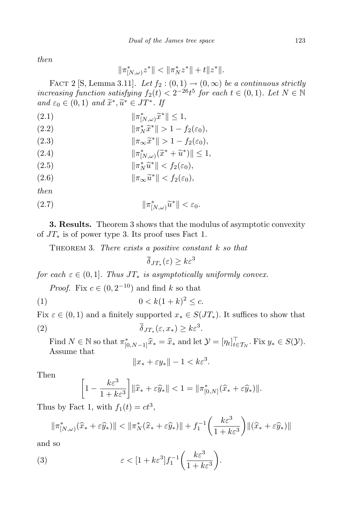*then*

$$
\|\pi^*_{[N,\omega)}z^*\| < \|\pi^*_Nz^*\| + t\|z^*\|.
$$

FACT 2 [S, Lemma 3.11]. Let  $f_2$  :  $(0,1) \rightarrow (0,\infty)$  be a continuous strictly  $\int$ *increasing*  $\int$ *function satisfying*  $f_2(t) < 2^{-26}t^5$  *for each*  $t \in (0,1)$ *. Let*  $N \in \mathbb{N}$  $and \varepsilon_0 \in (0,1) \text{ and } \tilde{x}^*, \tilde{u}^* \in JT^*.$  If

 $\|\pi_{[N,\omega)}^*\tilde{x}^*\| \leq 1,$ 

$$
\|\pi_N^*\tilde{x}^*\| > 1 - f_2(\varepsilon_0),
$$

*<sup>k</sup>π∞x*<sup>e</sup> *∗* (2*.*3) *k >* 1 *− f*2(*ε*0)*,*

*kπ ∗* [*N,ω*) (*x*e *<sup>∗</sup>* <sup>+</sup> *<sup>u</sup>*<sup>e</sup> *∗* (2*.*4) )*k ≤* 1*,*

(2.5) 
$$
\|\pi_N^*\widetilde{u}^*\| < f_2(\varepsilon_0),
$$

 $\|\pi_{\infty}\tilde{u}^*\| < f_2(\varepsilon_0)$ ,

*then*

$$
||\pi_{[N,\omega)}^* \tilde{u}^*|| < \varepsilon_0.
$$

**3. Results.** Theorem 3 shows that the modulus of asymptotic convexity of *JT<sup>∗</sup>* is of power type 3. Its proof uses Fact 1.

Theorem 3. *There exists a positive constant k so that*

 $\overline{\delta}_{JT_*}(\varepsilon) \geq k\varepsilon^3$ 

*for each*  $\varepsilon \in (0,1]$ *. Thus*  $JT_*$  *is asymptotically uniformly convex.* 

*Proof.* Fix  $c \in (0, 2^{-10})$  and find  $k$  so that

(1)  $0 < k(1 + k)^2 \le c$ .

Fix  $\varepsilon \in (0,1)$  and a finitely supported  $x_* \in S(JT_*)$ . It suffices to show that  $\delta_{JT_*}$  *δJT*<sub>\*</sub>  $(\varepsilon, x_*) \geq k\varepsilon^3.$ 

Find  $N \in \mathbb{N}$  so that  $\pi_{[0,N-1]}^* \hat{x}_* = \hat{x}_*$  and let  $\mathcal{Y} = [\eta_t]_{t \in \mathcal{T}_N}^!$ . Fix  $y_* \in S(\mathcal{Y})$ . Assume that

$$
||x_* + \varepsilon y_*|| - 1 < k\varepsilon^3.
$$

Then

$$
\left[1 - \frac{k\varepsilon^3}{1 + k\varepsilon^3}\right] \|\widehat{x}_* + \varepsilon \widehat{y}_*\| < 1 = \|\pi^*_{[0,N]}(\widehat{x}_* + \varepsilon \widehat{y}_*)\|.
$$

Thus by Fact 1, with  $f_1(t) = ct^3$ ,

$$
\|\pi_{[N,\omega)}^*(\widehat{x}_*+\varepsilon\widehat{y}_*)\| < \|\pi_N^*(\widehat{x}_*+\varepsilon\widehat{y}_*)\| + f_1^{-1}\bigg(\frac{k\varepsilon^3}{1+k\varepsilon^3}\bigg) \|(\widehat{x}_*+\varepsilon\widehat{y}_*)\|
$$

and so

(3) 
$$
\varepsilon < [1 + k\varepsilon^3] f_1^{-1} \bigg( \frac{k\varepsilon^3}{1 + k\varepsilon^3} \bigg).
$$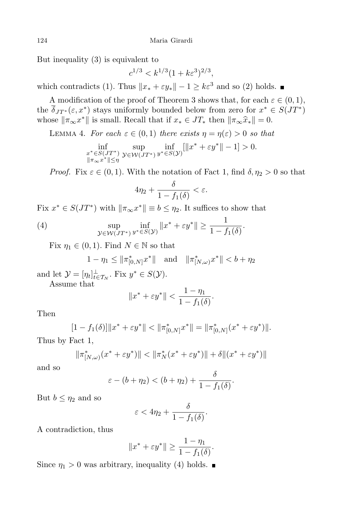But inequality (3) is equivalent to

$$
c^{1/3} < k^{1/3} (1 + k\varepsilon^3)^{2/3},
$$

which contradicts (1). Thus  $\|x_* + \varepsilon y_*\| - 1 \ge k\varepsilon^3$  and so (2) holds.

A modification of the proof of Theorem 3 shows that, for each  $\varepsilon \in (0,1)$ , the  $\delta_{JT^*}(\varepsilon, x^*)$  stays uniformly bounded below from zero for  $x^* \in S(JT^*)$ whose  $\|\pi_{\infty}x^*\|$  is small. Recall that if  $x_* \in JT_*$  then  $\|\pi_{\infty}\hat{x}_*\| = 0$ .

LEMMA 4. *For each*  $\varepsilon \in (0,1)$  *there exists*  $\eta = \eta(\varepsilon) > 0$  *so that* 

$$
\inf_{\substack{x^* \in S(JT^*) \\ \|\pi_\infty x^*\| \leq \eta}} \sup_{\mathcal{Y} \in \mathcal{W}(JT^*)} \inf_{y^* \in S(\mathcal{Y})} [\|x^* + \varepsilon y^*\| - 1] > 0.
$$

*Proof.* Fix  $\varepsilon \in (0,1)$ . With the notation of Fact 1, find  $\delta, \eta_2 > 0$  so that

$$
4\eta_2+\frac{\delta}{1-f_1(\delta)}<\varepsilon.
$$

Fix  $x^* \in S(JT^*)$  with  $\|\pi_{\infty}x^*\| \equiv b \leq \eta_2$ . It suffices to show that

(4) 
$$
\sup_{\mathcal{Y}\in\mathcal{W}(JT^*)}\inf_{y^*\in S(\mathcal{Y})}\|x^*+\varepsilon y^*\|\geq \frac{1}{1-f_1(\delta)}.
$$

Fix  $\eta_1 \in (0,1)$ . Find  $N \in \mathbb{N}$  so that

$$
1 - \eta_1 \le ||\pi_{[0,N]}^* x^*||
$$
 and  $||\pi_{[N,\omega]}^* x^*|| < b + \eta_2$ 

and let  $\mathcal{Y} = [\eta_t]_{t \in \mathcal{T}_N}^{\perp}$ . Fix  $y^* \in S(\mathcal{Y})$ .

Assume that

$$
||x^* + \varepsilon y^*|| < \frac{1 - \eta_1}{1 - f_1(\delta)}.
$$

Then

$$
[1 - f_1(\delta)] \|x^* + \varepsilon y^*\| < \|\pi^*_{[0,N]} x^*\| = \|\pi^*_{[0,N]} (x^* + \varepsilon y^*)\|.
$$

Thus by Fact 1,

$$
\|\pi_{[N,\omega)}^*(x^*+\varepsilon y^*)\| < \|\pi_N^*(x^*+\varepsilon y^*)\| + \delta \|(x^*+\varepsilon y^*)\|
$$

and so

$$
\varepsilon-(b+\eta_2)<(b+\eta_2)+\frac{\delta}{1-f_1(\delta)}.
$$

But  $b \leq \eta_2$  and so

$$
\varepsilon < 4\eta_2 + \frac{\delta}{1 - f_1(\delta)}.
$$

A contradiction, thus

$$
||x^* + \varepsilon y^*|| \ge \frac{1 - \eta_1}{1 - f_1(\delta)}.
$$

Since  $\eta_1 > 0$  was arbitrary, inequality (4) holds.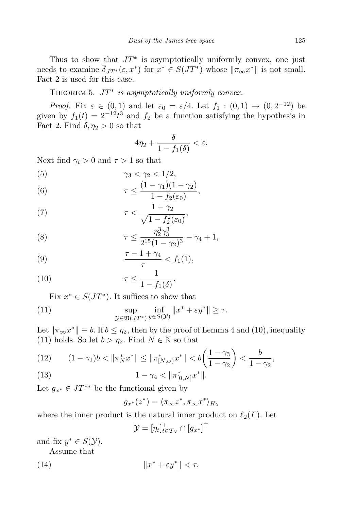Thus to show that *JT ∗* is asymptotically uniformly convex, one just needs to examine  $\delta_{JT^*}(\varepsilon, x^*)$  for  $x^* \in S(JT^*)$  whose  $\|\pi_\infty x^*\|$  is not small. Fact 2 is used for this case.

 $THEOREM 5. JT* is asymptotically uniformly convex.$ 

*Proof.* Fix  $\varepsilon \in (0,1)$  and let  $\varepsilon_0 = \varepsilon/4$ . Let  $f_1 : (0,1) \to (0,2^{-12})$  be given by  $f_1(t) = 2^{-12}t^3$  and  $f_2$  be a function satisfying the hypothesis in Fact 2. Find  $\delta$ ,  $\eta_2 > 0$  so that

$$
4\eta_2 + \frac{\delta}{1 - f_1(\delta)} < \varepsilon.
$$

Next find  $\gamma_i > 0$  and  $\tau > 1$  so that

$$
\gamma_3 < \gamma_2 < 1/2,
$$
\n(5)

\n(1, 1)

(6) 
$$
\tau \leq \frac{(1-\gamma_1)(1-\gamma_2)}{1-f_2(\varepsilon_0)},
$$

(7) 
$$
\tau < \frac{1 - \gamma_2}{\sqrt{1 - f_2^2(\varepsilon_0)}},
$$

(8) 
$$
\tau \leq \frac{\eta_2^3 \gamma_3^3}{2^{15} (1 - \gamma_2)^3} - \gamma_4 + 1,
$$

(9) 
$$
\frac{\tau - 1 + \gamma_4}{\tau} < f_1(1),
$$

(10) 
$$
\tau \leq \frac{1}{1 - f_1(\delta)}.
$$

Fix  $x^* \in S(JT^*)$ . It suffices to show that

(11) 
$$
\sup_{\mathcal{Y}\in\mathfrak{N}(JT^*)}\inf_{y\in S(\mathcal{Y})}\|x^*+\varepsilon y^*\|\geq \tau.
$$

Let  $\|\pi_{\infty}x^*\| \equiv b$ . If  $b \leq \eta_2$ , then by the proof of Lemma 4 and (10), inequality (11) holds. So let  $b > \eta_2$ . Find  $N \in \mathbb{N}$  so that

(12) 
$$
(1 - \gamma_1)b < \|\pi_N^* x^*\| \le \|\pi_{[N,\omega)}^* x^*\| < b\left(\frac{1 - \gamma_3}{1 - \gamma_2}\right) < \frac{b}{1 - \gamma_2},
$$

(13) 
$$
1 - \gamma_4 < \|\pi^*_{[0,N]}x^*\|.
$$

Let  $g_{x^*} \in JT^{**}$  be the functional given by

$$
g_{x^*}(z^*) = \langle \pi_\infty z^*, \pi_\infty x^* \rangle_{H_2}
$$

where the inner product is the natural inner product on  $\ell_2(\Gamma)$ . Let

$$
\mathcal{Y} = [\eta_t]_{t \in \mathcal{T}_N}^{\perp} \cap [g_{x^*}]^{\perp}
$$

and fix  $y^* \in S(\mathcal{Y})$ .

Assume that

(14) 
$$
||x^* + \varepsilon y^*|| < \tau.
$$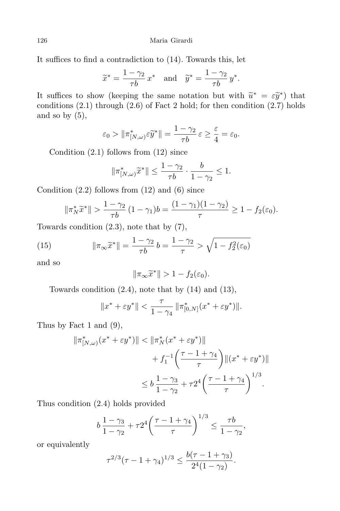126 Maria Girardi

It suffices to find a contradiction to (14). Towards this, let

$$
\widetilde{x}^* = \frac{1 - \gamma_2}{\tau b} x^* \quad \text{and} \quad \widetilde{y}^* = \frac{1 - \gamma_2}{\tau b} y^*.
$$

It suffices to show (keeping the same notation but with  $\tilde{u}^* = \varepsilon \tilde{y}^*$ ) that conditions (2.1) through (2.6) of East 2 hold for then condition (2.7) holds conditions  $(2.1)$  through  $(2.6)$  of Fact 2 hold; for then condition  $(2.7)$  holds and so by  $(5)$ ,

$$
\varepsilon_0 > \|\pi^*_{[N,\omega)}\varepsilon \widetilde{y}^*\| = \frac{1-\gamma_2}{\tau b} \varepsilon \ge \frac{\varepsilon}{4} = \varepsilon_0.
$$

Condition  $(2.1)$  follows from  $(12)$  since

$$
\|\pi^*_{[N,\omega)}\widetilde{x}^*\| \le \frac{1-\gamma_2}{\tau b} \cdot \frac{b}{1-\gamma_2} \le 1.
$$

Condition  $(2.2)$  follows from  $(12)$  and  $(6)$  since

$$
\|\pi_N^*\tilde{x}^*\| > \frac{1-\gamma_2}{\tau b} (1-\gamma_1)b = \frac{(1-\gamma_1)(1-\gamma_2)}{\tau} \ge 1 - f_2(\varepsilon_0).
$$

Towards condition (2.3), note that by (7),

(15) 
$$
\|\pi_{\infty}\widetilde{x}^*\| = \frac{1-\gamma_2}{\tau b}b = \frac{1-\gamma_2}{\tau} > \sqrt{1-f_2^2(\varepsilon_0)}
$$

and so

$$
\|\pi_{\infty}\widetilde{x}^*\| > 1 - f_2(\varepsilon_0).
$$

Towards condition  $(2.4)$ , note that by  $(14)$  and  $(13)$ ,

$$
||x^*+\varepsilon y^*||<\frac{\tau}{1-\gamma_4}\,||\pi^*_{[0,N]}(x^*+\varepsilon y^*)||.
$$

Thus by Fact 1 and (9),

$$
\|\pi_{[N,\omega)}^*(x^* + \varepsilon y^*)\| < \|\pi_N^*(x^* + \varepsilon y^*)\| \\
+ f_1^{-1} \left( \frac{\tau - 1 + \gamma_4}{\tau} \right) \|(x^* + \varepsilon y^*)\| \\
\leq b \frac{1 - \gamma_3}{1 - \gamma_2} + \tau 2^4 \left( \frac{\tau - 1 + \gamma_4}{\tau} \right)^{1/3}.
$$

Thus condition (2.4) holds provided

$$
b\,\frac{1-\gamma_3}{1-\gamma_2} + \tau 2^4 \bigg(\frac{\tau - 1 + \gamma_4}{\tau}\bigg)^{1/3} \le \frac{\tau b}{1-\gamma_2},
$$

or equivalently

$$
\tau^{2/3}(\tau - 1 + \gamma_4)^{1/3} \le \frac{b(\tau - 1 + \gamma_3)}{2^4(1 - \gamma_2)}.
$$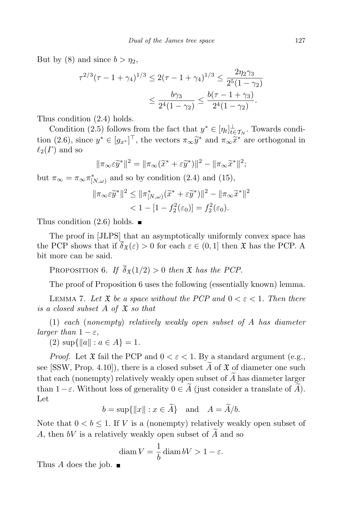But by (8) and since  $b > \eta_2$ ,

$$
\tau^{2/3}(\tau - 1 + \gamma_4)^{1/3} \le 2(\tau - 1 + \gamma_4)^{1/3} \le \frac{2\eta_2\gamma_3}{2^5(1 - \gamma_2)}
$$

$$
\le \frac{b\gamma_3}{2^4(1 - \gamma_2)} \le \frac{b(\tau - 1 + \gamma_3)}{2^4(1 - \gamma_2)}.
$$

Thus condition (2.4) holds.

Condition (2.5) follows from the fact that  $y^* \in [\eta_t]_{t \in \mathcal{T}_N}^{\perp}$ . Towards condition (2.6), since  $y^* \in [g_{x^*}]^\perp$ , the vectors  $\pi_\infty \tilde{y}^*$  and  $\pi_\infty \tilde{x}^*$  are orthogonal in  $\ell_\infty(\Gamma)$  and so  $\ell_2(\Gamma)$  and so

$$
\|\pi_{\infty}\varepsilon\widetilde{y}^*\|^2 = \|\pi_{\infty}(\widetilde{x}^* + \varepsilon\widetilde{y}^*)\|^2 - \|\pi_{\infty}\widetilde{x}^*\|^2;
$$

but  $\pi_{\infty} = \pi_{\infty} \pi_{[N,\omega)}^*$  and so by condition (2.4) and (15),

$$
\|\pi_{\infty}\varepsilon\widetilde{y}^*\|^2 \le \|\pi^*_{[N,\omega)}(\widetilde{x}^* + \varepsilon\widetilde{y}^*)\|^2 - \|\pi_{\infty}\widetilde{x}^*\|^2 < 1 - [1 - f_2^2(\varepsilon_0)] = f_2^2(\varepsilon_0).
$$

Thus condition  $(2.6)$  holds.

The proof in [JLPS] that an asymptotically uniformly convex space has the PCP shows that if  $\overline{\delta}_{\mathfrak{X}}(\varepsilon) > 0$  for each  $\varepsilon \in (0,1]$  then  $\mathfrak{X}$  has the PCP. A bit more can be said.

PROPOSITION 6. *If*  $\overline{\delta}_{\mathfrak{X}}(1/2) > 0$  *then*  $\mathfrak{X}$  *has the PCP*.

The proof of Proposition 6 uses the following (essentially known) lemma.

LEMMA 7. Let  $\mathfrak X$  *be a space without the PCP and*  $0 < \varepsilon < 1$ *. Then there is a closed subset A of* X *so that*

(1) *each* (*nonempty*) *relatively weakly open subset of A has diameter larger than*  $1 - \varepsilon$ *,* 

 $(2) \sup\{\|a\| : a \in A\} = 1.$ 

*Proof.* Let  $\mathfrak X$  fail the PCP and  $0 < \varepsilon < 1$ . By a standard argument (e.g., see [SSW, Prop. 4.10]), there is a closed subset  $\tilde{A}$  of  $\tilde{X}$  of diameter one such that each (nonempty) relatively weakly open subset of  $\overline{A}$  has diameter larger than  $1-\varepsilon$ . Without loss of generality  $0 \in \tilde{A}$  (just consider a translate of  $\tilde{A}$ ). Let

 $b = \sup\{\|x\| : x \in \widetilde{A}\}\$ and  $A = \widetilde{A}/b$ .

Note that  $0 < b \leq 1$ . If *V* is a (nonempty) relatively weakly open subset of A, then  $bV$  is a relatively weakly open subset of  $\ddot{A}$  and so

$$
\operatorname{diam} V = \frac{1}{b} \operatorname{diam} bV > 1 - \varepsilon.
$$

Thus *A* does the job.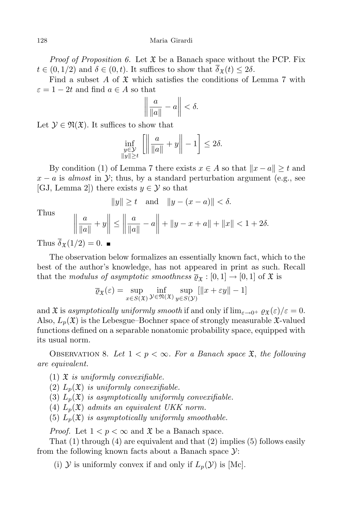*Proof* of Proposition 6. Let  $\mathfrak X$  be a Banach space without the PCP. Fix  $t \in (0, 1/2)$  and  $\delta \in (0, t)$ . It suffices to show that  $\delta_{\mathfrak{X}}(t) \leq 2\delta$ .

Find a subset  $A$  of  $\mathfrak X$  which satisfies the conditions of Lemma 7 with  $\varepsilon = 1 - 2t$  and find  $a \in A$  so that

$$
\left\|\frac{a}{\|a\|}-a\right\|<\delta.
$$

Let  $\mathcal{Y} \in \mathfrak{N}(\mathfrak{X})$ . It suffices to show that

$$
\inf_{\substack{y \in \mathcal{Y} \\ \|y\| \ge t}} \left[ \left\| \frac{a}{\|a\|} + y \right\| - 1 \right] \le 2\delta.
$$

By condition (1) of Lemma 7 there exists  $x \in A$  so that  $||x - a|| \ge t$  and  $x - a$  is *almost* in *Y*; thus, by a standard perturbation argument (e.g., see  $[GJ, Lemma 2]$  there exists  $y \in \mathcal{Y}$  so that

$$
||y|| \ge t
$$
 and  $||y - (x - a)|| < \delta$ .

Thus

$$
\frac{a}{\|a\|} + y \le \left\| \frac{a}{\|a\|} - a \right\| + \|y - x + a\| + \|x\| < 1 + 2\delta.
$$

 $\mathbb{I}$ Thus  $\overline{\delta}_{\mathfrak{X}}(1/2) = 0$ .

II Ш

The observation below formalizes an essentially known fact, which to the best of the author's knowledge, has not appeared in print as such. Recall that the *modulus* of asymptotic smoothness  $\overline{\varrho}_{\mathfrak{X}} : [0,1] \to [0,1]$  of  $\mathfrak{X}$  is

$$
\overline{\varrho}_{\mathfrak{X}}(\varepsilon) = \sup_{x \in S(\mathfrak{X})} \inf_{\mathcal{Y} \in \mathfrak{N}(\mathfrak{X})} \sup_{y \in S(\mathcal{Y})} [\|x + \varepsilon y\| - 1]
$$

and  $\mathfrak{X}$  is *asymptotically uniformly smooth* if and only if  $\lim_{\varepsilon \to 0^+} \rho_{\mathfrak{X}}(\varepsilon)/\varepsilon = 0$ . Also,  $L_p(\mathfrak{X})$  is the Lebesgue–Bochner space of strongly measurable  $\mathfrak{X}$ -valued functions defined on a separable nonatomic probability space, equipped with its usual norm.

OBSERVATION 8. Let  $1 < p < \infty$ . For a Banach space  $\mathfrak{X}$ , the following *are equivalent.*

- (1) X *is uniformly convexifiable.*
- (2)  $L_p(\mathfrak{X})$  *is uniformly convexifiable.*
- (3)  $L_p(\mathfrak{X})$  *is asymptotically uniformly convexifiable.*
- (4)  $L_p(\mathfrak{X})$  *admits* an *equivalent UKK norm.*
- (5)  $L_p(\mathfrak{X})$  *is asymptotically uniformly smoothable.*

*Proof.* Let  $1 < p < \infty$  and  $\mathfrak X$  be a Banach space.

That  $(1)$  through  $(4)$  are equivalent and that  $(2)$  implies  $(5)$  follows easily from the following known facts about a Banach space *Y*:

(i)  $\mathcal Y$  is uniformly convex if and only if  $L_p(\mathcal Y)$  is [Mc].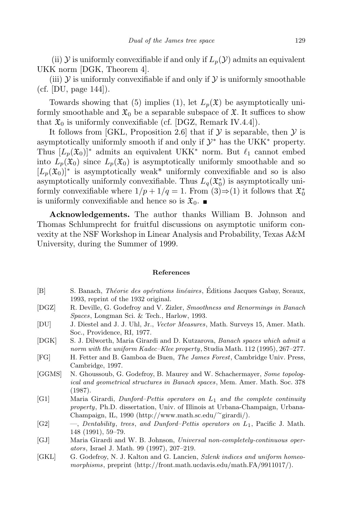(ii)  $\mathcal Y$  is uniformly convexifiable if and only if  $L_p(\mathcal Y)$  admits an equivalent UKK norm [DGK, Theorem 4].

(iii)  $Y$  is uniformly convexifiable if and only if  $Y$  is uniformly smoothable (cf. [DU, page 144]).

Towards showing that (5) implies (1), let  $L_p(\mathfrak{X})$  be asymptotically uniformly smoothable and  $\mathfrak{X}_0$  be a separable subspace of  $\mathfrak{X}$ . It suffices to show that  $\mathfrak{X}_0$  is uniformly convexifiable (cf. [DGZ, Remark IV.4.4]).

It follows from [GKL, Proposition 2.6] that if  $\mathcal Y$  is separable, then  $\mathcal Y$  is asymptotically uniformly smooth if and only if  $\mathcal{Y}^*$  has the UKK<sup>\*</sup> property. Thus  $[L_n(\mathfrak{X}_0)]^*$  admits an equivalent UKK<sup>\*</sup> norm. But  $\ell_1$  cannot embed into  $L_p(\mathfrak{X}_0)$  since  $L_p(\mathfrak{X}_0)$  is asymptotically uniformly smoothable and so  $[L_p(\mathfrak{X}_0)]^*$  is asymptotically weak<sup>\*</sup> uniformly convexifiable and so is also asymptotically uniformly convexifiable. Thus  $L_q(\mathfrak{X}_0^*)$  is asymptotically uniformly convexifiable where  $1/p + 1/q = 1$ . From  $(3) \Rightarrow (1)$  it follows that  $\mathfrak{X}_0^*$ is uniformly convexifiable and hence so is  $\mathfrak{X}_0$ .

**Acknowledgements.** The author thanks William B. Johnson and Thomas Schlumprecht for fruitful discussions on asymptotic uniform convexity at the NSF Workshop in Linear Analysis and Probability, Texas A&M University, during the Summer of 1999.

## **References**

- [B] S. Banach, *Théorie des opérations linéaires*, Éditions Jacques Gabay, Sceaux, 1993, reprint of the 1932 original.
- [DGZ] R. Deville, G. Godefroy and V. Zizler, *Smoothness and Renormings in Banach Spaces*, Longman Sci. & Tech., Harlow, 1993.
- [DU] J. Diestel and J. J. Uhl, Jr., *Vector Measures*, Math. Surveys 15, Amer. Math. Soc., Providence, RI, 1977.
- [DGK] S. J. Dilworth, Maria Girardi and D. Kutzarova, *Banach spaces which admit a norm with the uniform Kadec–Klee property*, Studia Math. 112 (1995), 267–277.
- [FG] H. Fetter and B. Gamboa de Buen, *The James Forest*, Cambridge Univ. Press, Cambridge, 1997.
- [GGMS] N. Ghoussoub, G. Godefroy, B. Maurey and W. Schachermayer, *Some topological and geometrical structures in Banach spaces*, Mem. Amer. Math. Soc. 378 (1987).
- [G1] Maria Girardi, *Dunford–Pettis operators on L*1 *and the complete continuity property*, Ph.D. dissertation, Univ. of Illinois at Urbana-Champaign, Urbana-Champaign, IL, 1990 (http://www.math.sc.edu/*∼*girardi/).
- [G2] —, *Dentability*, *trees*, *and Dunford–Pettis operators on L*1, Pacific J. Math. 148 (1991), 59–79.
- [GJ] Maria Girardi and W. B. Johnson, *Universal non-completely-continuous operators*, Israel J. Math. 99 (1997), 207–219.
- [GKL] G. Godefroy, N. J. Kalton and G. Lancien, *Szlenk indices and uniform homeomorphisms*, preprint (http://front.math.ucdavis.edu/math.FA/9911017/).